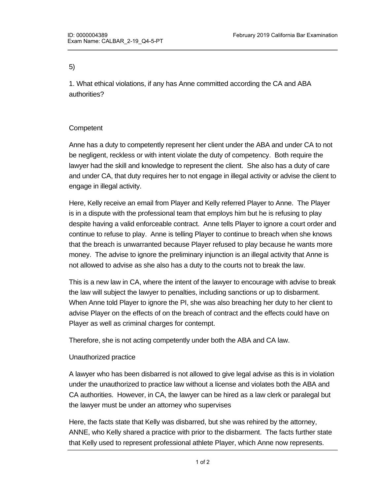## 5)

1. What ethical violations, if any has Anne committed according the CA and ABA authorities?

## **Competent**

Anne has a duty to competently represent her client under the ABA and under CA to not be negligent, reckless or with intent violate the duty of competency. Both require the lawyer had the skill and knowledge to represent the client. She also has a duty of care and under CA, that duty requires her to not engage in illegal activity or advise the client to engage in illegal activity.

Here, Kelly receive an email from Player and Kelly referred Player to Anne. The Player is in a dispute with the professional team that employs him but he is refusing to play despite having a valid enforceable contract. Anne tells Player to ignore a court order and continue to refuse to play. Anne is telling Player to continue to breach when she knows that the breach is unwarranted because Player refused to play because he wants more money. The advise to ignore the preliminary injunction is an illegal activity that Anne is not allowed to advise as she also has a duty to the courts not to break the law.

This is a new law in CA, where the intent of the lawyer to encourage with advise to break the law will subject the lawyer to penalties, including sanctions or up to disbarment. When Anne told Player to ignore the PI, she was also breaching her duty to her client to advise Player on the effects of on the breach of contract and the effects could have on Player as well as criminal charges for contempt.

Therefore, she is not acting competently under both the ABA and CA law.

## Unauthorized practice

A lawyer who has been disbarred is not allowed to give legal advise as this is in violation under the unauthorized to practice law without a license and violates both the ABA and CA authorities. However, in CA, the lawyer can be hired as a law clerk or paralegal but the lawyer must be under an attorney who supervises

Here, the facts state that Kelly was disbarred, but she was rehired by the attorney, ANNE, who Kelly shared a practice with prior to the disbarment. The facts further state that Kelly used to represent professional athlete Player, which Anne now represents.

Supervision requires that Anne who drafted the questions for Anne to ask the owner